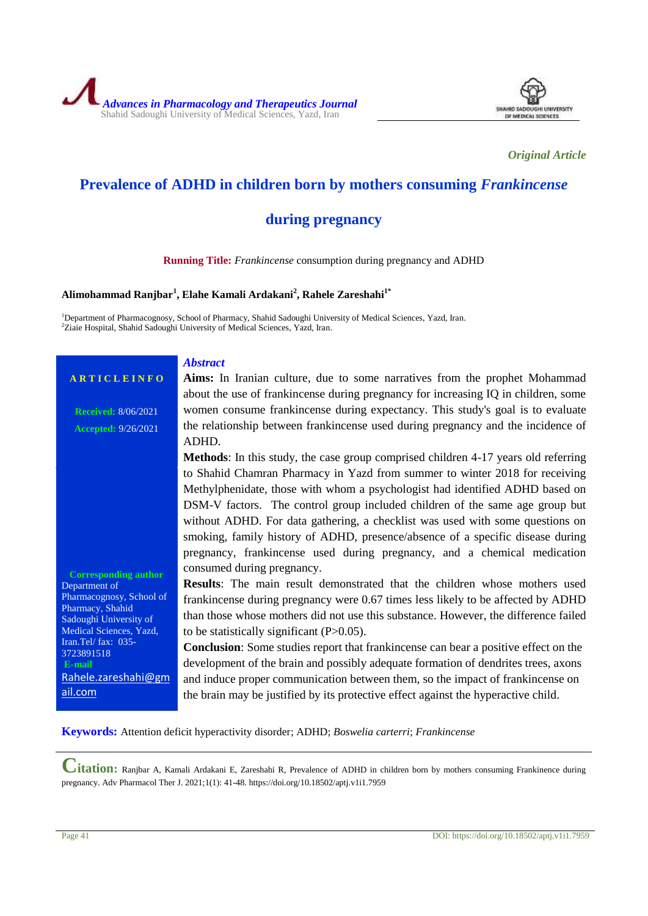



*Original Article*

# **Prevalence of ADHD in children born by mothers consuming** *Frankincense*

## **during pregnancy**

**Running Title:** *Frankincense* consumption during pregnancy and ADHD

### **Alimohammad Ranjbar<sup>1</sup> , Elahe Kamali Ardakani<sup>2</sup> , Rahele Zareshahi1\***

<sup>1</sup>Department of Pharmacognosy, School of Pharmacy, Shahid Sadoughi University of Medical Sciences, Yazd, Iran. <sup>2</sup>Ziaie Hospital, Shahid Sadoughi University of Medical Sciences, Yazd, Iran.

## *Abstract*

**Received:** 8/06/2021 **Accepted:** 9/26/2021

**A R T I C L E I N F O**

**Corresponding author** Department of Pharmacognosy, School of Pharmacy, Shahid Sadoughi University of Medical Sciences, Yazd, Iran.Tel/ fax: 035- 3723891518 **E-mail**

[Rahele.zareshahi@gm](mailto:Rahele.zareshahi@gmail.com) [ail.com](mailto:Rahele.zareshahi@gmail.com)

**Aims:** In Iranian culture, due to some narratives from the prophet Mohammad about the use of frankincense during pregnancy for increasing IQ in children, some women consume frankincense during expectancy. This study's goal is to evaluate the relationship between frankincense used during pregnancy and the incidence of ADHD.

**Methods**: In this study, the case group comprised children 4-17 years old referring to Shahid Chamran Pharmacy in Yazd from summer to winter 2018 for receiving Methylphenidate, those with whom a psychologist had identified ADHD based on DSM-V factors. The control group included children of the same age group but without ADHD. For data gathering, a checklist was used with some questions on smoking, family history of ADHD, presence/absence of a specific disease during pregnancy, frankincense used during pregnancy, and a chemical medication consumed during pregnancy.

**Results**: The main result demonstrated that the children whose mothers used frankincense during pregnancy were 0.67 times less likely to be affected by ADHD than those whose mothers did not use this substance. However, the difference failed to be statistically significant  $(P>0.05)$ .

**Conclusion**: Some studies report that frankincense can bear a positive effect on the development of the brain and possibly adequate formation of dendrites trees, axons and induce proper communication between them, so the impact of frankincense on the brain may be justified by its protective effect against the hyperactive child.

**Keywords:** Attention deficit hyperactivity disorder; ADHD; *Boswelia carterri*; *Frankincense*

**Citation:** Ranjbar A, Kamali Ardakani E, Zareshahi R, Prevalence of ADHD in children born by mothers consuming Frankinence during pregnancy. Adv Pharmacol Ther J. 2021;1(1): 41-48. https://doi.org/10.18502/aptj.v1i1.7959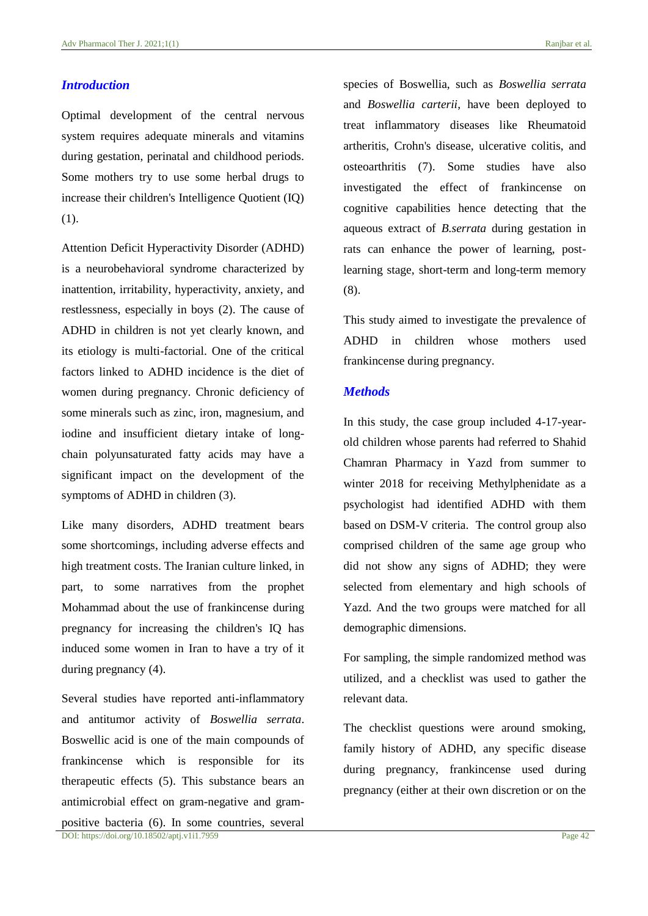## *Introduction*

Optimal development of the central nervous system requires adequate minerals and vitamins during gestation, perinatal and childhood periods. Some mothers try to use some herbal drugs to increase their children's Intelligence Quotient (IQ) (1).

Attention Deficit Hyperactivity Disorder (ADHD) is a neurobehavioral syndrome characterized by inattention, irritability, hyperactivity, anxiety, and restlessness, especially in boys (2). The cause of ADHD in children is not yet clearly known, and its etiology is multi-factorial. One of the critical factors linked to ADHD incidence is the diet of women during pregnancy. Chronic deficiency of some minerals such as zinc, iron, magnesium, and iodine and insufficient dietary intake of longchain polyunsaturated fatty acids may have a significant impact on the development of the symptoms of ADHD in children (3).

Like many disorders, ADHD treatment bears some shortcomings, including adverse effects and high treatment costs. The Iranian culture linked, in part, to some narratives from the prophet Mohammad about the use of frankincense during pregnancy for increasing the children's IQ has induced some women in Iran to have a try of it during pregnancy (4).

Several studies have reported anti-inflammatory and antitumor activity of *Boswellia serrata*. Boswellic acid is one of the main compounds of frankincense which is responsible for its therapeutic effects (5). This substance bears an antimicrobial effect on gram-negative and gram-

DOI: https://doi.org/10.18502/aptj.v1i1.7959 Page 42 positive bacteria (6). In some countries, several

species of Boswellia, such as *Boswellia serrata* and *Boswellia carterii*, have been deployed to treat inflammatory diseases like Rheumatoid artheritis, Crohn's disease, ulcerative colitis, and osteoarthritis (7). Some studies have also investigated the effect of frankincense on cognitive capabilities hence detecting that the aqueous extract of *B.serrata* during gestation in rats can enhance the power of learning, postlearning stage, short-term and long-term memory (8).

This study aimed to investigate the prevalence of ADHD in children whose mothers used frankincense during pregnancy.

### *Methods*

In this study, the case group included 4-17-yearold children whose parents had referred to Shahid Chamran Pharmacy in Yazd from summer to winter 2018 for receiving Methylphenidate as a psychologist had identified ADHD with them based on DSM-V criteria. The control group also comprised children of the same age group who did not show any signs of ADHD; they were selected from elementary and high schools of Yazd. And the two groups were matched for all demographic dimensions.

For sampling, the simple randomized method was utilized, and a checklist was used to gather the relevant data.

The checklist questions were around smoking, family history of ADHD, any specific disease during pregnancy, frankincense used during pregnancy (either at their own discretion or on the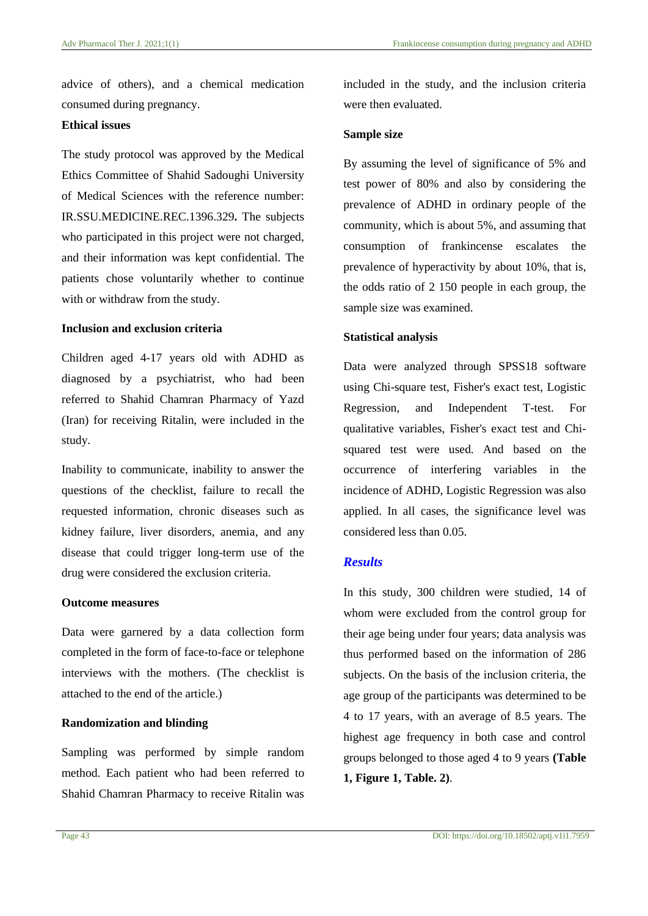advice of others), and a chemical medication consumed during pregnancy.

## **Ethical issues**

The study protocol was approved by the Medical Ethics Committee of Shahid Sadoughi University of Medical Sciences with the reference number: IR.SSU.MEDICINE.REC.1396.329**.** The subjects who participated in this project were not charged, and their information was kept confidential. The patients chose voluntarily whether to continue with or withdraw from the study.

## **Inclusion and exclusion criteria**

Children aged 4-17 years old with ADHD as diagnosed by a psychiatrist, who had been referred to Shahid Chamran Pharmacy of Yazd (Iran) for receiving Ritalin, were included in the study.

Inability to communicate, inability to answer the questions of the checklist, failure to recall the requested information, chronic diseases such as kidney failure, liver disorders, anemia, and any disease that could trigger long-term use of the drug were considered the exclusion criteria.

## **Outcome measures**

Data were garnered by a data collection form completed in the form of face-to-face or telephone interviews with the mothers. (The checklist is attached to the end of the article.)

#### **Randomization and blinding**

Sampling was performed by simple random method. Each patient who had been referred to Shahid Chamran Pharmacy to receive Ritalin was

included in the study, and the inclusion criteria were then evaluated.

#### **Sample size**

By assuming the level of significance of 5% and test power of 80% and also by considering the prevalence of ADHD in ordinary people of the community, which is about 5%, and assuming that consumption of frankincense escalates the prevalence of hyperactivity by about 10%, that is, the odds ratio of 2 150 people in each group, the sample size was examined.

#### **Statistical analysis**

Data were analyzed through SPSS18 software using Chi-square test, Fisher's exact test, Logistic Regression, and Independent T-test. For qualitative variables, Fisher's exact test and Chisquared test were used. And based on the occurrence of interfering variables in the incidence of ADHD, Logistic Regression was also applied. In all cases, the significance level was considered less than 0.05.

#### *Results*

In this study, 300 children were studied, 14 of whom were excluded from the control group for their age being under four years; data analysis was thus performed based on the information of 286 subjects. On the basis of the inclusion criteria, the age group of the participants was determined to be 4 to 17 years, with an average of 8.5 years. The highest age frequency in both case and control groups belonged to those aged 4 to 9 years **(Table 1, Figure 1, Table. 2)**.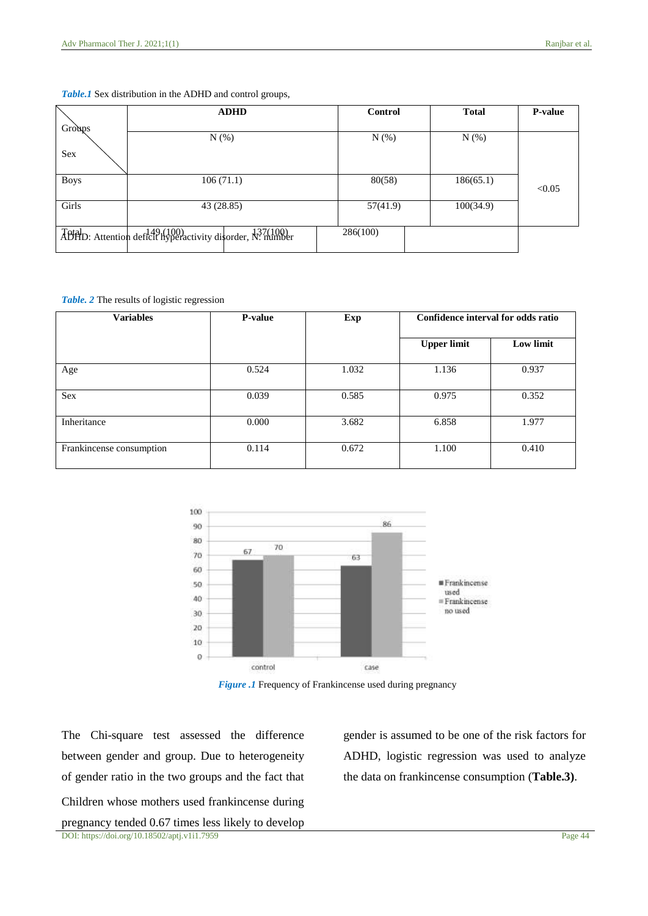|             |                                                           | <b>ADHD</b> |          | <b>Control</b> |  | <b>Total</b> | P-value |
|-------------|-----------------------------------------------------------|-------------|----------|----------------|--|--------------|---------|
| Groups      | $N(\%)$                                                   |             |          | $N(\%)$        |  | N(%)         |         |
| Sex         |                                                           |             |          |                |  |              |         |
| <b>Boys</b> | 106(71.1)                                                 |             |          | 80(58)         |  | 186(65.1)    | < 0.05  |
| Girls       | 43 (28.85)                                                |             |          | 57(41.9)       |  | 100(34.9)    |         |
|             | ABHD: Attention deficit hyperactivity disorder, N. number |             | 286(100) |                |  |              |         |

#### *Table.1* Sex distribution in the ADHD and control groups,

#### *Table. 2* The results of logistic regression

| <b>Variables</b>         | P-value | Exp   | Confidence interval for odds ratio |           |
|--------------------------|---------|-------|------------------------------------|-----------|
|                          |         |       | <b>Upper limit</b>                 | Low limit |
| Age                      | 0.524   | 1.032 | 1.136                              | 0.937     |
| Sex                      | 0.039   | 0.585 | 0.975                              | 0.352     |
| Inheritance              | 0.000   | 3.682 | 6.858                              | 1.977     |
| Frankincense consumption | 0.114   | 0.672 | 1.100                              | 0.410     |



*Figure .1* Frequency of Frankincense used during pregnancy

DOI: https://doi.org/10.18502/aptj.v1i1.7959 Page 44 The Chi-square test assessed the difference between gender and group. Due to heterogeneity of gender ratio in the two groups and the fact that Children whose mothers used frankincense during pregnancy tended 0.67 times less likely to develop

gender is assumed to be one of the risk factors for ADHD, logistic regression was used to analyze the data on frankincense consumption (**Table.3)**.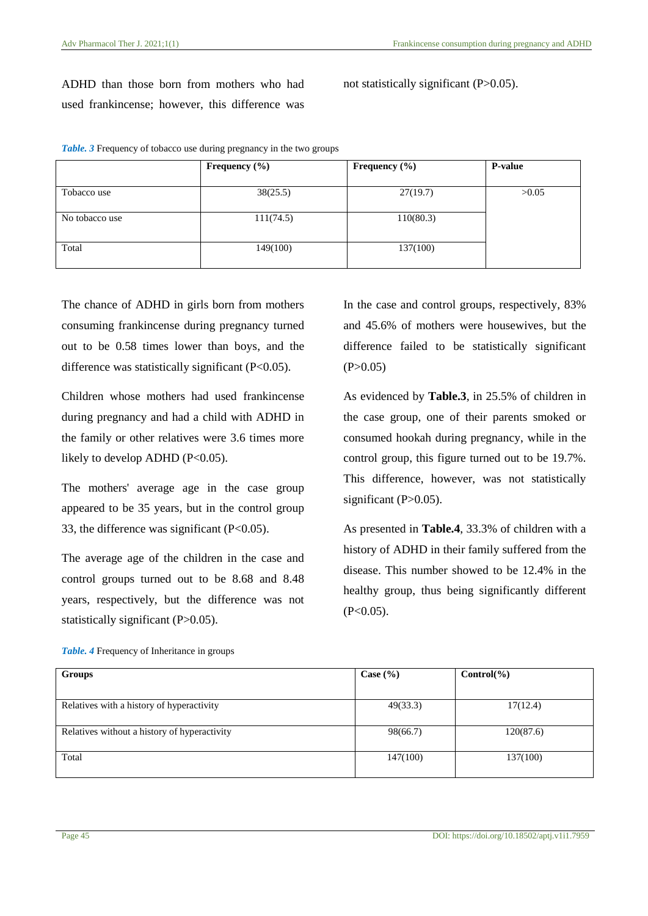ADHD than those born from mothers who had used frankincense; however, this difference was not statistically significant (P>0.05).

|                | Frequency $(\% )$ | Frequency $(\% )$ | <b>P-value</b> |
|----------------|-------------------|-------------------|----------------|
|                |                   |                   |                |
| Tobacco use    | 38(25.5)          | 27(19.7)          | >0.05          |
| No tobacco use | 111(74.5)         | 110(80.3)         |                |
|                |                   |                   |                |
| Total          | 149(100)          | 137(100)          |                |
|                |                   |                   |                |

The chance of ADHD in girls born from mothers consuming frankincense during pregnancy turned out to be 0.58 times lower than boys, and the difference was statistically significant  $(P<0.05)$ .

Children whose mothers had used frankincense during pregnancy and had a child with ADHD in the family or other relatives were 3.6 times more likely to develop ADHD ( $P<0.05$ ).

The mothers' average age in the case group appeared to be 35 years, but in the control group 33, the difference was significant (P<0.05).

The average age of the children in the case and control groups turned out to be 8.68 and 8.48 years, respectively, but the difference was not statistically significant (P>0.05).

In the case and control groups, respectively, 83% and 45.6% of mothers were housewives, but the difference failed to be statistically significant  $(P>0.05)$ 

As evidenced by **Table.3**, in 25.5% of children in the case group, one of their parents smoked or consumed hookah during pregnancy, while in the control group, this figure turned out to be 19.7%. This difference, however, was not statistically significant  $(P>0.05)$ .

As presented in **Table.4**, 33.3% of children with a history of ADHD in their family suffered from the disease. This number showed to be 12.4% in the healthy group, thus being significantly different  $(P<0.05)$ .

| <b>Groups</b>                                | Case $(\% )$ | $Control(\% )$ |
|----------------------------------------------|--------------|----------------|
|                                              |              |                |
| Relatives with a history of hyperactivity    | 49(33.3)     | 17(12.4)       |
| Relatives without a history of hyperactivity | 98(66.7)     | 120(87.6)      |
| Total                                        | 147(100)     | 137(100)       |

*Table. 4* Frequency of Inheritance in groups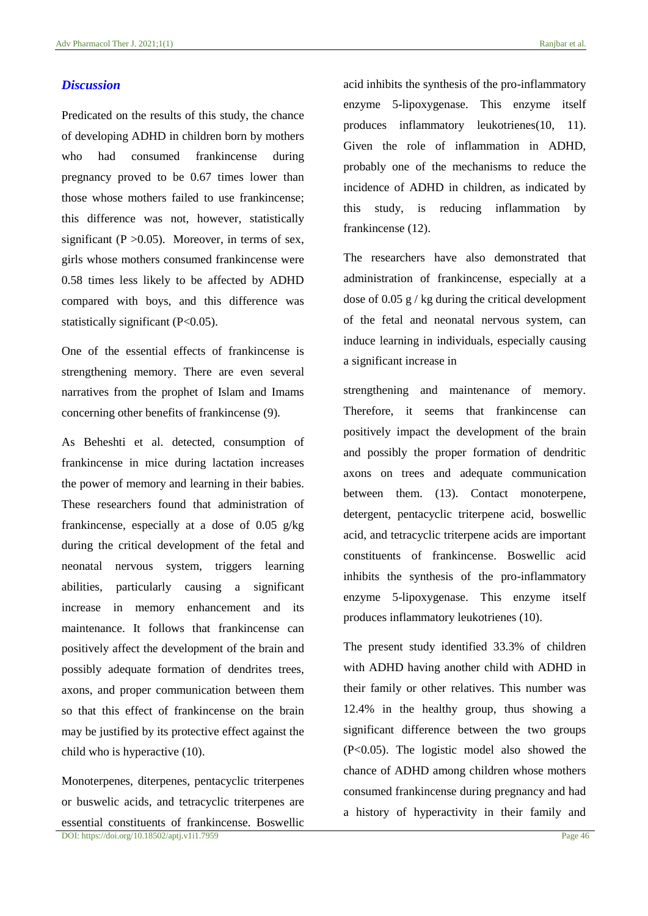#### *Discussion*

Predicated on the results of this study, the chance of developing ADHD in children born by mothers who had consumed frankincense during pregnancy proved to be 0.67 times lower than those whose mothers failed to use frankincense; this difference was not, however, statistically significant ( $P > 0.05$ ). Moreover, in terms of sex, girls whose mothers consumed frankincense were 0.58 times less likely to be affected by ADHD compared with boys, and this difference was statistically significant (P<0.05).

One of the essential effects of frankincense is strengthening memory. There are even several narratives from the prophet of Islam and Imams concerning other benefits of frankincense (9).

As Beheshti et al. detected, consumption of frankincense in mice during lactation increases the power of memory and learning in their babies. These researchers found that administration of frankincense, especially at a dose of 0.05 g/kg during the critical development of the fetal and neonatal nervous system, triggers learning abilities, particularly causing a significant increase in memory enhancement and its maintenance. It follows that frankincense can positively affect the development of the brain and possibly adequate formation of dendrites trees, axons, and proper communication between them so that this effect of frankincense on the brain may be justified by its protective effect against the child who is hyperactive (10).

DOI: https://doi.org/10.18502/aptj.v1i1.7959 Page 46 Monoterpenes, diterpenes, pentacyclic triterpenes or buswelic acids, and tetracyclic triterpenes are essential constituents of frankincense. Boswellic

acid inhibits the synthesis of the pro-inflammatory enzyme 5-lipoxygenase. This enzyme itself produces inflammatory leukotrienes(10, 11). Given the role of inflammation in ADHD, probably one of the mechanisms to reduce the incidence of ADHD in children, as indicated by this study, is reducing inflammation by frankincense (12).

The researchers have also demonstrated that administration of frankincense, especially at a dose of 0.05 g / kg during the critical development of the fetal and neonatal nervous system, can induce learning in individuals, especially causing a significant increase in

strengthening and maintenance of memory. Therefore, it seems that frankincense can positively impact the development of the brain and possibly the proper formation of dendritic axons on trees and adequate communication between them. (13). Contact monoterpene, detergent, pentacyclic triterpene acid, boswellic acid, and tetracyclic triterpene acids are important constituents of frankincense. Boswellic acid inhibits the synthesis of the pro-inflammatory enzyme 5-lipoxygenase. This enzyme itself produces inflammatory leukotrienes (10).

The present study identified 33.3% of children with ADHD having another child with ADHD in their family or other relatives. This number was 12.4% in the healthy group, thus showing a significant difference between the two groups (P<0.05). The logistic model also showed the chance of ADHD among children whose mothers consumed frankincense during pregnancy and had a history of hyperactivity in their family and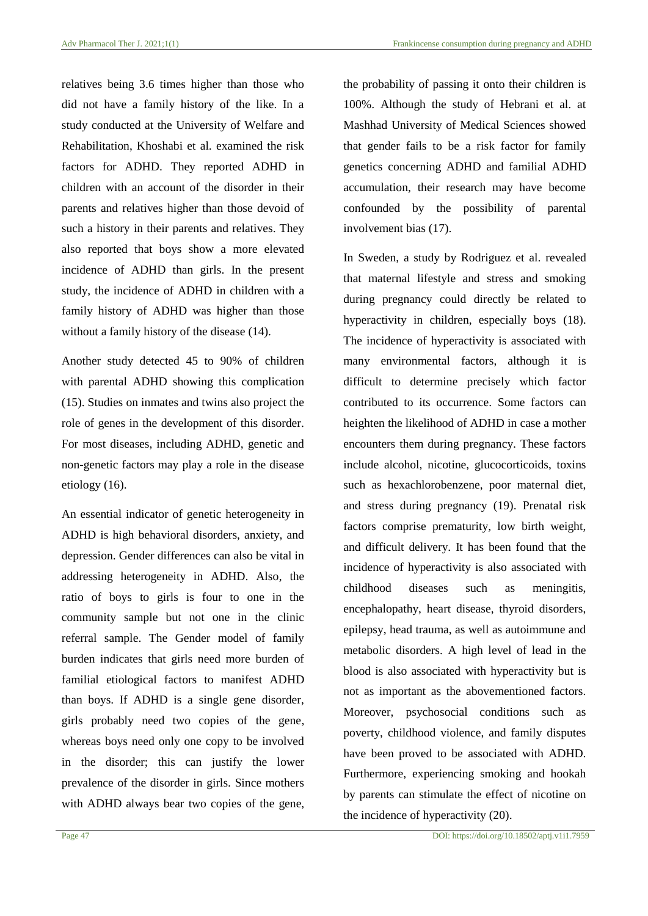relatives being 3.6 times higher than those who did not have a family history of the like. In a study conducted at the University of Welfare and Rehabilitation, Khoshabi et al. examined the risk factors for ADHD. They reported ADHD in children with an account of the disorder in their parents and relatives higher than those devoid of such a history in their parents and relatives. They also reported that boys show a more elevated incidence of ADHD than girls. In the present study, the incidence of ADHD in children with a family history of ADHD was higher than those without a family history of the disease (14).

Another study detected 45 to 90% of children with parental ADHD showing this complication (15). Studies on inmates and twins also project the role of genes in the development of this disorder. For most diseases, including ADHD, genetic and non-genetic factors may play a role in the disease etiology (16).

An essential indicator of genetic heterogeneity in ADHD is high behavioral disorders, anxiety, and depression. Gender differences can also be vital in addressing heterogeneity in ADHD. Also, the ratio of boys to girls is four to one in the community sample but not one in the clinic referral sample. The Gender model of family burden indicates that girls need more burden of familial etiological factors to manifest ADHD than boys. If ADHD is a single gene disorder, girls probably need two copies of the gene, whereas boys need only one copy to be involved in the disorder; this can justify the lower prevalence of the disorder in girls. Since mothers with ADHD always bear two copies of the gene,

the probability of passing it onto their children is 100%. Although the study of Hebrani et al. at Mashhad University of Medical Sciences showed that gender fails to be a risk factor for family genetics concerning ADHD and familial ADHD accumulation, their research may have become confounded by the possibility of parental involvement bias (17).

In Sweden, a study by Rodriguez et al. revealed that maternal lifestyle and stress and smoking during pregnancy could directly be related to hyperactivity in children, especially boys (18). The incidence of hyperactivity is associated with many environmental factors, although it is difficult to determine precisely which factor contributed to its occurrence. Some factors can heighten the likelihood of ADHD in case a mother encounters them during pregnancy. These factors include alcohol, nicotine, glucocorticoids, toxins such as hexachlorobenzene, poor maternal diet, and stress during pregnancy (19). Prenatal risk factors comprise prematurity, low birth weight, and difficult delivery. It has been found that the incidence of hyperactivity is also associated with childhood diseases such as meningitis, encephalopathy, heart disease, thyroid disorders, epilepsy, head trauma, as well as autoimmune and metabolic disorders. A high level of lead in the blood is also associated with hyperactivity but is not as important as the abovementioned factors. Moreover, psychosocial conditions such as poverty, childhood violence, and family disputes have been proved to be associated with ADHD. Furthermore, experiencing smoking and hookah by parents can stimulate the effect of nicotine on the incidence of hyperactivity (20).